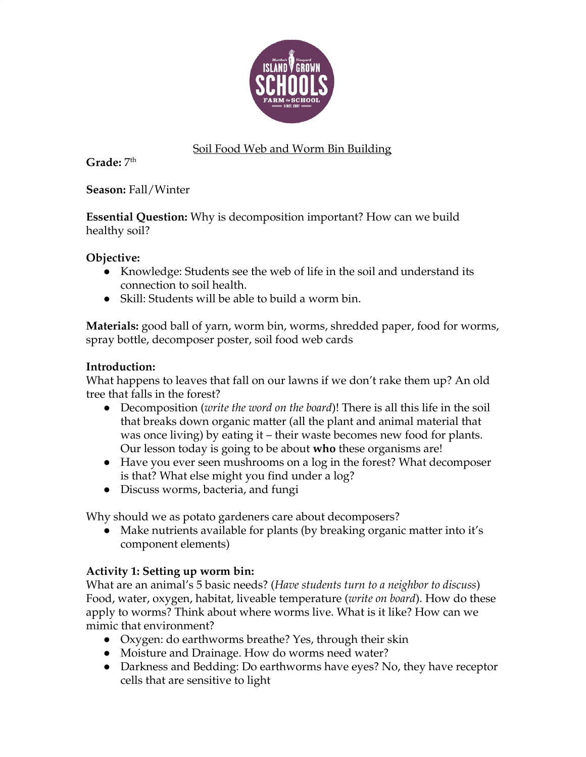

# Soil Food Web and Worm Bin Building

**Grade:**  $7<sup>th</sup>$ 

# **Season:** Fall/Winter

**Essential Question:** Why is decomposition important? How can we build healthy soil?

# **Objective:**

- Knowledge: Students see the web of life in the soil and understand its connection to soil health.
- Skill: Students will be able to build a worm bin.

**Materials:** good ball of yarn, worm bin, worms, shredded paper, food for worms, spray bottle, decomposer poster, soil food web cards

#### **Introduction:**

What happens to leaves that fall on our lawns if we don't rake them up? An old tree that falls in the forest?

- Decomposition (*write the word on the board*)! There is all this life in the soil that breaks down organic matter (all the plant and animal material that was once living) by eating it – their waste becomes new food for plants. Our lesson today is going to be about **who** these organisms are!
- Have you ever seen mushrooms on a log in the forest? What decomposer is that? What else might you find under a log?
- Discuss worms, bacteria, and fungi

Why should we as potato gardeners care about decomposers?

● Make nutrients available for plants (by breaking organic matter into it's component elements)

# **Activity 1: Setting up worm bin:**

What are an animal's 5 basic needs? (*Have students turn to a neighbor to discuss*) Food, water, oxygen, habitat, liveable temperature (*write on board*). How do these apply to worms? Think about where worms live. What is it like? How can we mimic that environment?

- Oxygen: do earthworms breathe? Yes, through their skin
- Moisture and Drainage. How do worms need water?
- Darkness and Bedding: Do earthworms have eyes? No, they have receptor cells that are sensitive to light